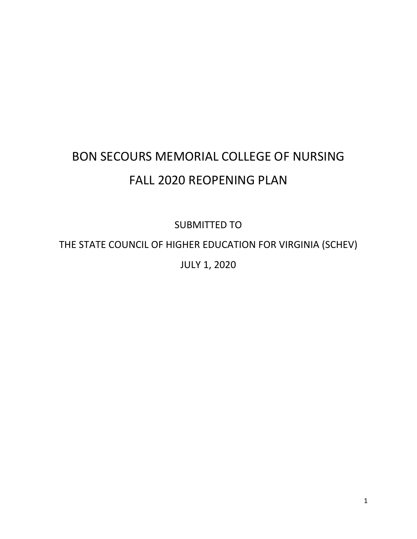# BON SECOURS MEMORIAL COLLEGE OF NURSING FALL 2020 REOPENING PLAN

SUBMITTED TO

THE STATE COUNCIL OF HIGHER EDUCATION FOR VIRGINIA (SCHEV)

JULY 1, 2020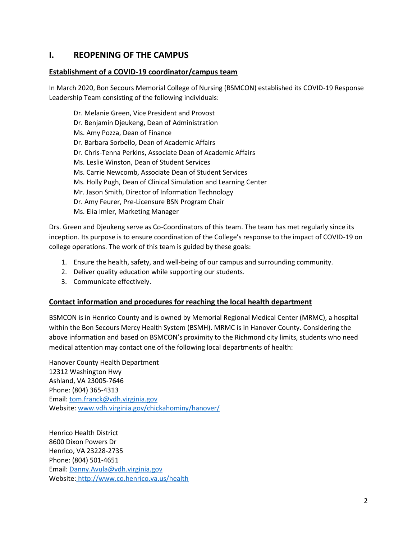# **I. REOPENING OF THE CAMPUS**

#### **Establishment of a COVID-19 coordinator/campus team**

In March 2020, Bon Secours Memorial College of Nursing (BSMCON) established its COVID-19 Response Leadership Team consisting of the following individuals:

Dr. Melanie Green, Vice President and Provost Dr. Benjamin Djeukeng, Dean of Administration Ms. Amy Pozza, Dean of Finance Dr. Barbara Sorbello, Dean of Academic Affairs Dr. Chris-Tenna Perkins, Associate Dean of Academic Affairs Ms. Leslie Winston, Dean of Student Services Ms. Carrie Newcomb, Associate Dean of Student Services Ms. Holly Pugh, Dean of Clinical Simulation and Learning Center Mr. Jason Smith, Director of Information Technology Dr. Amy Feurer, Pre-Licensure BSN Program Chair Ms. Elia Imler, Marketing Manager

Drs. Green and Djeukeng serve as Co-Coordinators of this team. The team has met regularly since its inception. Its purpose is to ensure coordination of the College's response to the impact of COVID-19 on college operations. The work of this team is guided by these goals:

- 1. Ensure the health, safety, and well-being of our campus and surrounding community.
- 2. Deliver quality education while supporting our students.
- 3. Communicate effectively.

#### **Contact information and procedures for reaching the local health department**

BSMCON is in Henrico County and is owned by Memorial Regional Medical Center (MRMC), a hospital within the Bon Secours Mercy Health System (BSMH). MRMC is in Hanover County. Considering the above information and based on BSMCON's proximity to the Richmond city limits, students who need medical attention may contact one of the following local departments of health:

Hanover County Health Department 12312 Washington Hwy Ashland, VA 23005-7646 Phone: (804) 365-4313 Email: [tom.franck@vdh.virginia.gov](mailto:tom.franck@vdh.virginia.gov) Website[: www.vdh.virginia.gov/chickahominy/hanover/](http://www.vdh.virginia.gov/chickahominy/hanover/)

Henrico Health District 8600 Dixon Powers Dr Henrico, VA 23228-2735 Phone: (804) 501-4651 Email: [Danny.Avula@vdh.virginia.gov](mailto:Danny.Avula@vdh.virginia.gov) Website: <http://www.co.henrico.va.us/health>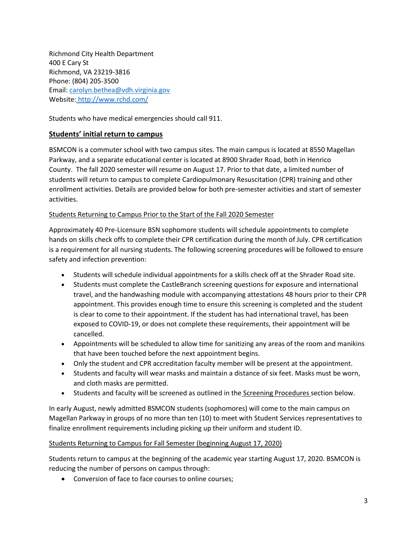Richmond City Health Department 400 E Cary St Richmond, VA 23219-3816 Phone: (804) 205-3500 Email: [carolyn.bethea@vdh.virginia.gov](mailto:carolyn.bethea@vdh.virginia.gov) Website: <http://www.rchd.com/>

Students who have medical emergencies should call 911.

#### **Students' initial return to campus**

BSMCON is a commuter school with two campus sites. The main campus is located at 8550 Magellan Parkway, and a separate educational center is located at 8900 Shrader Road, both in Henrico County. The fall 2020 semester will resume on August 17. Prior to that date, a limited number of students will return to campus to complete Cardiopulmonary Resuscitation (CPR) training and other enrollment activities. Details are provided below for both pre-semester activities and start of semester activities.

#### Students Returning to Campus Prior to the Start of the Fall 2020 Semester

Approximately 40 Pre-Licensure BSN sophomore students will schedule appointments to complete hands on skills check offs to complete their CPR certification during the month of July. CPR certification is a requirement for all nursing students. The following screening procedures will be followed to ensure safety and infection prevention:

- Students will schedule individual appointments for a skills check off at the Shrader Road site.
- Students must complete the CastleBranch screening questions for exposure and international travel, and the handwashing module with accompanying attestations 48 hours prior to their CPR appointment. This provides enough time to ensure this screening is completed and the student is clear to come to their appointment. If the student has had international travel, has been exposed to COVID-19, or does not complete these requirements, their appointment will be cancelled.
- Appointments will be scheduled to allow time for sanitizing any areas of the room and manikins that have been touched before the next appointment begins.
- Only the student and CPR accreditation faculty member will be present at the appointment.
- Students and faculty will wear masks and maintain a distance of six feet. Masks must be worn, and cloth masks are permitted.
- Students and faculty will be screened as outlined in the **Screening Procedures** section below.

In early August, newly admitted BSMCON students (sophomores) will come to the main campus on Magellan Parkway in groups of no more than ten (10) to meet with Student Services representatives to finalize enrollment requirements including picking up their uniform and student ID.

#### Students Returning to Campus for Fall Semester (beginning August 17, 2020)

Students return to campus at the beginning of the academic year starting August 17, 2020. BSMCON is reducing the number of persons on campus through:

• Conversion of face to face courses to online courses;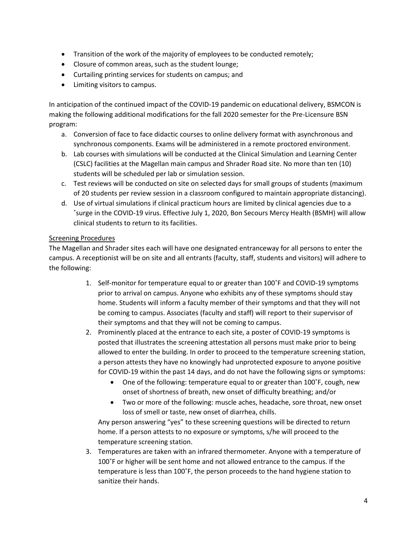- Transition of the work of the majority of employees to be conducted remotely;
- Closure of common areas, such as the student lounge;
- Curtailing printing services for students on campus; and
- Limiting visitors to campus.

In anticipation of the continued impact of the COVID-19 pandemic on educational delivery, BSMCON is making the following additional modifications for the fall 2020 semester for the Pre-Licensure BSN program:

- a. Conversion of face to face didactic courses to online delivery format with asynchronous and synchronous components. Exams will be administered in a remote proctored environment.
- b. Lab courses with simulations will be conducted at the Clinical Simulation and Learning Center (CSLC) facilities at the Magellan main campus and Shrader Road site. No more than ten (10) students will be scheduled per lab or simulation session.
- c. Test reviews will be conducted on site on selected days for small groups of students (maximum of 20 students per review session in a classroom configured to maintain appropriate distancing).
- d. Use of virtual simulations if clinical practicum hours are limited by clinical agencies due to a ˚surge in the COVID-19 virus. Effective July 1, 2020, Bon Secours Mercy Health (BSMH) will allow clinical students to return to its facilities.

#### Screening Procedures

The Magellan and Shrader sites each will have one designated entranceway for all persons to enter the campus. A receptionist will be on site and all entrants (faculty, staff, students and visitors) will adhere to the following:

- 1. Self-monitor for temperature equal to or greater than 100˚F and COVID-19 symptoms prior to arrival on campus. Anyone who exhibits any of these symptoms should stay home. Students will inform a faculty member of their symptoms and that they will not be coming to campus. Associates (faculty and staff) will report to their supervisor of their symptoms and that they will not be coming to campus.
- 2. Prominently placed at the entrance to each site, a poster of COVID-19 symptoms is posted that illustrates the screening attestation all persons must make prior to being allowed to enter the building. In order to proceed to the temperature screening station, a person attests they have no knowingly had unprotected exposure to anyone positive for COVID-19 within the past 14 days, and do not have the following signs or symptoms:
	- One of the following: temperature equal to or greater than 100°F, cough, new onset of shortness of breath, new onset of difficulty breathing; and/or
	- Two or more of the following: muscle aches, headache, sore throat, new onset loss of smell or taste, new onset of diarrhea, chills.

Any person answering "yes" to these screening questions will be directed to return home. If a person attests to no exposure or symptoms, s/he will proceed to the temperature screening station.

3. Temperatures are taken with an infrared thermometer. Anyone with a temperature of 100˚F or higher will be sent home and not allowed entrance to the campus. If the temperature is less than 100˚F, the person proceeds to the hand hygiene station to sanitize their hands.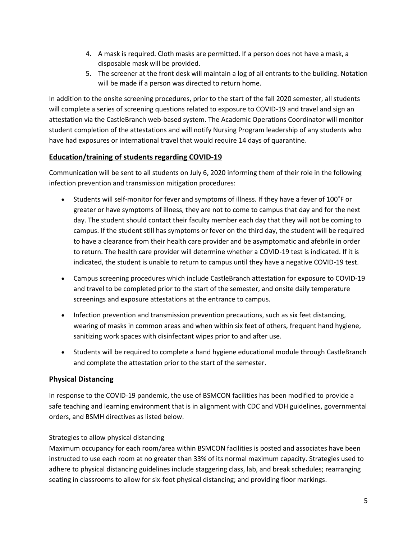- 4. A mask is required. Cloth masks are permitted. If a person does not have a mask, a disposable mask will be provided.
- 5. The screener at the front desk will maintain a log of all entrants to the building. Notation will be made if a person was directed to return home.

In addition to the onsite screening procedures, prior to the start of the fall 2020 semester, all students will complete a series of screening questions related to exposure to COVID-19 and travel and sign an attestation via the CastleBranch web-based system. The Academic Operations Coordinator will monitor student completion of the attestations and will notify Nursing Program leadership of any students who have had exposures or international travel that would require 14 days of quarantine.

# **Education/training of students regarding COVID-19**

Communication will be sent to all students on July 6, 2020 informing them of their role in the following infection prevention and transmission mitigation procedures:

- Students will self-monitor for fever and symptoms of illness. If they have a fever of 100˚F or greater or have symptoms of illness, they are not to come to campus that day and for the next day. The student should contact their faculty member each day that they will not be coming to campus. If the student still has symptoms or fever on the third day, the student will be required to have a clearance from their health care provider and be asymptomatic and afebrile in order to return. The health care provider will determine whether a COVID-19 test is indicated. If it is indicated, the student is unable to return to campus until they have a negative COVID-19 test.
- Campus screening procedures which include CastleBranch attestation for exposure to COVID-19 and travel to be completed prior to the start of the semester, and onsite daily temperature screenings and exposure attestations at the entrance to campus.
- Infection prevention and transmission prevention precautions, such as six feet distancing, wearing of masks in common areas and when within six feet of others, frequent hand hygiene, sanitizing work spaces with disinfectant wipes prior to and after use.
- Students will be required to complete a hand hygiene educational module through CastleBranch and complete the attestation prior to the start of the semester.

# **Physical Distancing**

In response to the COVID-19 pandemic, the use of BSMCON facilities has been modified to provide a safe teaching and learning environment that is in alignment with CDC and VDH guidelines, governmental orders, and BSMH directives as listed below.

#### Strategies to allow physical distancing

Maximum occupancy for each room/area within BSMCON facilities is posted and associates have been instructed to use each room at no greater than 33% of its normal maximum capacity. Strategies used to adhere to physical distancing guidelines include staggering class, lab, and break schedules; rearranging seating in classrooms to allow for six-foot physical distancing; and providing floor markings.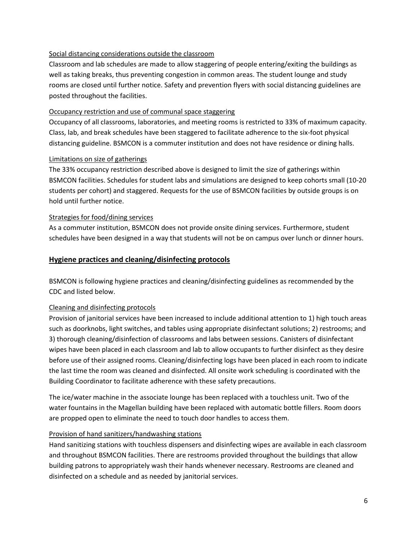#### Social distancing considerations outside the classroom

Classroom and lab schedules are made to allow staggering of people entering/exiting the buildings as well as taking breaks, thus preventing congestion in common areas. The student lounge and study rooms are closed until further notice. Safety and prevention flyers with social distancing guidelines are posted throughout the facilities.

#### Occupancy restriction and use of communal space staggering

Occupancy of all classrooms, laboratories, and meeting rooms is restricted to 33% of maximum capacity. Class, lab, and break schedules have been staggered to facilitate adherence to the six-foot physical distancing guideline. BSMCON is a commuter institution and does not have residence or dining halls.

#### Limitations on size of gatherings

The 33% occupancy restriction described above is designed to limit the size of gatherings within BSMCON facilities. Schedules for student labs and simulations are designed to keep cohorts small (10-20 students per cohort) and staggered. Requests for the use of BSMCON facilities by outside groups is on hold until further notice.

#### Strategies for food/dining services

As a commuter institution, BSMCON does not provide onsite dining services. Furthermore, student schedules have been designed in a way that students will not be on campus over lunch or dinner hours.

#### **Hygiene practices and cleaning/disinfecting protocols**

BSMCON is following hygiene practices and cleaning/disinfecting guidelines as recommended by the CDC and listed below.

#### Cleaning and disinfecting protocols

Provision of janitorial services have been increased to include additional attention to 1) high touch areas such as doorknobs, light switches, and tables using appropriate disinfectant solutions; 2) restrooms; and 3) thorough cleaning/disinfection of classrooms and labs between sessions. Canisters of disinfectant wipes have been placed in each classroom and lab to allow occupants to further disinfect as they desire before use of their assigned rooms. Cleaning/disinfecting logs have been placed in each room to indicate the last time the room was cleaned and disinfected. All onsite work scheduling is coordinated with the Building Coordinator to facilitate adherence with these safety precautions.

The ice/water machine in the associate lounge has been replaced with a touchless unit. Two of the water fountains in the Magellan building have been replaced with automatic bottle fillers. Room doors are propped open to eliminate the need to touch door handles to access them.

#### Provision of hand sanitizers/handwashing stations

Hand sanitizing stations with touchless dispensers and disinfecting wipes are available in each classroom and throughout BSMCON facilities. There are restrooms provided throughout the buildings that allow building patrons to appropriately wash their hands whenever necessary. Restrooms are cleaned and disinfected on a schedule and as needed by janitorial services.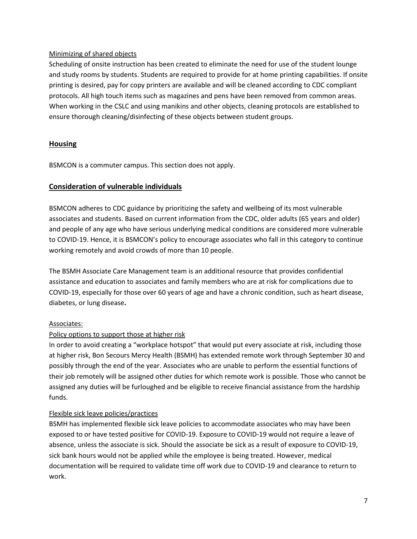#### Minimizing of shared objects

Scheduling of onsite instruction has been created to eliminate the need for use of the student lounge and study rooms by students. Students are required to provide for at home printing capabilities. If onsite printing is desired, pay for copy printers are available and will be cleaned according to CDC compliant protocols. All high touch items such as magazines and pens have been removed from common areas. When working in the CSLC and using manikins and other objects, cleaning protocols are established to ensure thorough cleaning/disinfecting of these objects between student groups.

#### **Housing**

BSMCON is a commuter campus. This section does not apply.

#### **Consideration of vulnerable individuals**

BSMCON adheres to CDC guidance by prioritizing the safety and wellbeing of its most vulnerable associates and students. Based on current information from the CDC, older adults (65 years and older) and people of any age who have serious underlying medical conditions are considered more vulnerable to COVID-19. Hence, it is BSMCON's policy to encourage associates who fall in this category to continue working remotely and avoid crowds of more than 10 people.

The BSMH Associate Care Management team is an additional resource that provides confidential assistance and education to associates and family members who are at risk for complications due to COVID-19, especially for those over 60 years of age and have a chronic condition, such as heart disease, diabetes, or lung disease**.**

#### Associates:

#### Policy options to support those at higher risk

In order to avoid creating a "workplace hotspot" that would put every associate at risk, including those at higher risk, Bon Secours Mercy Health (BSMH) has extended remote work through September 30 and possibly through the end of the year. Associates who are unable to perform the essential functions of their job remotely will be assigned other duties for which remote work is possible. Those who cannot be assigned any duties will be furloughed and be eligible to receive financial assistance from the hardship funds.

#### Flexible sick leave policies/practices

BSMH has implemented flexible sick leave policies to accommodate associates who may have been exposed to or have tested positive for COVID-19. Exposure to COVID-19 would not require a leave of absence, unless the associate is sick. Should the associate be sick as a result of exposure to COVID-19, sick bank hours would not be applied while the employee is being treated. However, medical documentation will be required to validate time off work due to COVID-19 and clearance to return to work.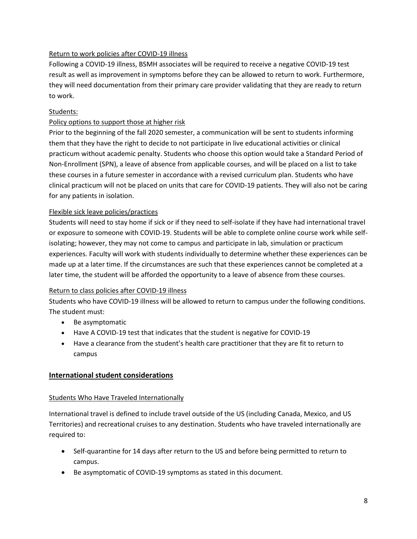#### Return to work policies after COVID-19 illness

Following a COVID-19 illness, BSMH associates will be required to receive a negative COVID-19 test result as well as improvement in symptoms before they can be allowed to return to work. Furthermore, they will need documentation from their primary care provider validating that they are ready to return to work.

#### Students:

#### Policy options to support those at higher risk

Prior to the beginning of the fall 2020 semester, a communication will be sent to students informing them that they have the right to decide to not participate in live educational activities or clinical practicum without academic penalty. Students who choose this option would take a Standard Period of Non-Enrollment (SPN), a leave of absence from applicable courses, and will be placed on a list to take these courses in a future semester in accordance with a revised curriculum plan. Students who have clinical practicum will not be placed on units that care for COVID-19 patients. They will also not be caring for any patients in isolation.

#### Flexible sick leave policies/practices

Students will need to stay home if sick or if they need to self-isolate if they have had international travel or exposure to someone with COVID-19. Students will be able to complete online course work while selfisolating; however, they may not come to campus and participate in lab, simulation or practicum experiences. Faculty will work with students individually to determine whether these experiences can be made up at a later time. If the circumstances are such that these experiences cannot be completed at a later time, the student will be afforded the opportunity to a leave of absence from these courses.

#### Return to class policies after COVID-19 illness

Students who have COVID-19 illness will be allowed to return to campus under the following conditions. The student must:

- Be asymptomatic
- Have A COVID-19 test that indicates that the student is negative for COVID-19
- Have a clearance from the student's health care practitioner that they are fit to return to campus

#### **International student considerations**

#### Students Who Have Traveled Internationally

International travel is defined to include travel outside of the US (including Canada, Mexico, and US Territories) and recreational cruises to any destination. Students who have traveled internationally are required to:

- Self-quarantine for 14 days after return to the US and before being permitted to return to campus.
- Be asymptomatic of COVID-19 symptoms as stated in this document.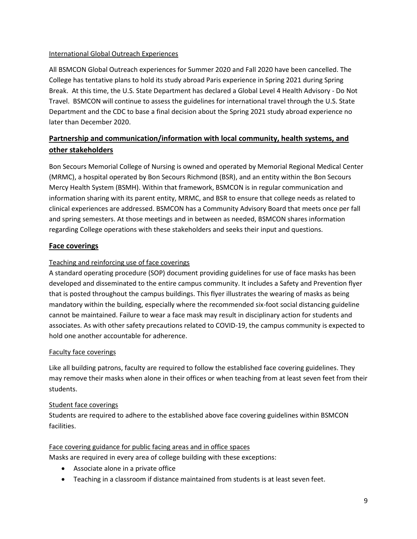#### International Global Outreach Experiences

All BSMCON Global Outreach experiences for Summer 2020 and Fall 2020 have been cancelled. The College has tentative plans to hold its study abroad Paris experience in Spring 2021 during Spring Break. At this time, the U.S. State Department has declared a Global Level 4 Health Advisory - Do Not Travel. BSMCON will continue to assess the guidelines for international travel through the U.S. State Department and the CDC to base a final decision about the Spring 2021 study abroad experience no later than December 2020.

# **Partnership and communication/information with local community, health systems, and other stakeholders**

Bon Secours Memorial College of Nursing is owned and operated by Memorial Regional Medical Center (MRMC), a hospital operated by Bon Secours Richmond (BSR), and an entity within the Bon Secours Mercy Health System (BSMH). Within that framework, BSMCON is in regular communication and information sharing with its parent entity, MRMC, and BSR to ensure that college needs as related to clinical experiences are addressed. BSMCON has a Community Advisory Board that meets once per fall and spring semesters. At those meetings and in between as needed, BSMCON shares information regarding College operations with these stakeholders and seeks their input and questions.

#### **Face coverings**

#### Teaching and reinforcing use of face coverings

A standard operating procedure (SOP) document providing guidelines for use of face masks has been developed and disseminated to the entire campus community. It includes a Safety and Prevention flyer that is posted throughout the campus buildings. This flyer illustrates the wearing of masks as being mandatory within the building, especially where the recommended six-foot social distancing guideline cannot be maintained. Failure to wear a face mask may result in disciplinary action for students and associates. As with other safety precautions related to COVID-19, the campus community is expected to hold one another accountable for adherence.

#### Faculty face coverings

Like all building patrons, faculty are required to follow the established face covering guidelines. They may remove their masks when alone in their offices or when teaching from at least seven feet from their students.

#### Student face coverings

Students are required to adhere to the established above face covering guidelines within BSMCON facilities.

#### Face covering guidance for public facing areas and in office spaces

Masks are required in every area of college building with these exceptions:

- Associate alone in a private office
- Teaching in a classroom if distance maintained from students is at least seven feet.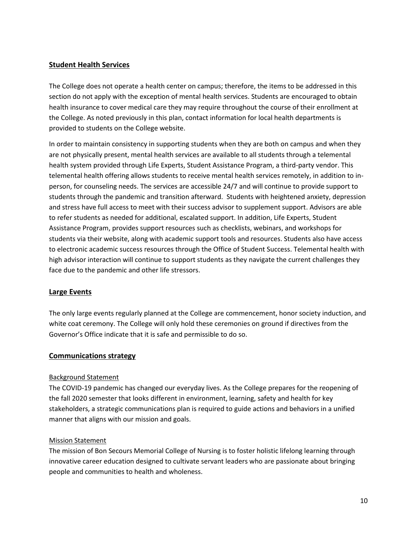#### **Student Health Services**

The College does not operate a health center on campus; therefore, the items to be addressed in this section do not apply with the exception of mental health services. Students are encouraged to obtain health insurance to cover medical care they may require throughout the course of their enrollment at the College. As noted previously in this plan, contact information for local health departments is provided to students on the College website.

In order to maintain consistency in supporting students when they are both on campus and when they are not physically present, mental health services are available to all students through a telemental health system provided through Life Experts, Student Assistance Program, a third-party vendor. This telemental health offering allows students to receive mental health services remotely, in addition to inperson, for counseling needs. The services are accessible 24/7 and will continue to provide support to students through the pandemic and transition afterward. Students with heightened anxiety, depression and stress have full access to meet with their success advisor to supplement support. Advisors are able to refer students as needed for additional, escalated support. In addition, Life Experts, Student Assistance Program, provides support resources such as checklists, webinars, and workshops for students via their website, along with academic support tools and resources. Students also have access to electronic academic success resources through the Office of Student Success. Telemental health with high advisor interaction will continue to support students as they navigate the current challenges they face due to the pandemic and other life stressors.

#### **Large Events**

The only large events regularly planned at the College are commencement, honor society induction, and white coat ceremony. The College will only hold these ceremonies on ground if directives from the Governor's Office indicate that it is safe and permissible to do so.

#### **Communications strategy**

#### Background Statement

The COVID-19 pandemic has changed our everyday lives. As the College prepares for the reopening of the fall 2020 semester that looks different in environment, learning, safety and health for key stakeholders, a strategic communications plan is required to guide actions and behaviors in a unified manner that aligns with our mission and goals.

#### Mission Statement

The mission of Bon Secours Memorial College of Nursing is to foster holistic lifelong learning through innovative career education designed to cultivate servant leaders who are passionate about bringing people and communities to health and wholeness.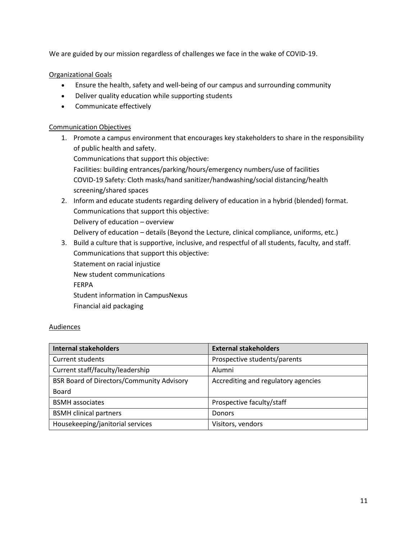We are guided by our mission regardless of challenges we face in the wake of COVID-19.

Organizational Goals

- Ensure the health, safety and well-being of our campus and surrounding community
- Deliver quality education while supporting students
- Communicate effectively

#### Communication Objectives

1. Promote a campus environment that encourages key stakeholders to share in the responsibility of public health and safety.

Communications that support this objective:

Facilities: building entrances/parking/hours/emergency numbers/use of facilities COVID-19 Safety: Cloth masks/hand sanitizer/handwashing/social distancing/health screening/shared spaces

- 2. Inform and educate students regarding delivery of education in a hybrid (blended) format. Communications that support this objective: Delivery of education – overview Delivery of education – details (Beyond the Lecture, clinical compliance, uniforms, etc.)
- 3. Build a culture that is supportive, inclusive, and respectful of all students, faculty, and staff. Communications that support this objective: Statement on racial injustice New student communications FERPA Student information in CampusNexus Financial aid packaging

#### Audiences

| <b>Internal stakeholders</b>                     | <b>External stakeholders</b>        |
|--------------------------------------------------|-------------------------------------|
| Current students                                 | Prospective students/parents        |
| Current staff/faculty/leadership                 | Alumni                              |
| <b>BSR Board of Directors/Community Advisory</b> | Accrediting and regulatory agencies |
| <b>Board</b>                                     |                                     |
| <b>BSMH</b> associates                           | Prospective faculty/staff           |
| <b>BSMH</b> clinical partners                    | <b>Donors</b>                       |
| Housekeeping/janitorial services                 | Visitors, vendors                   |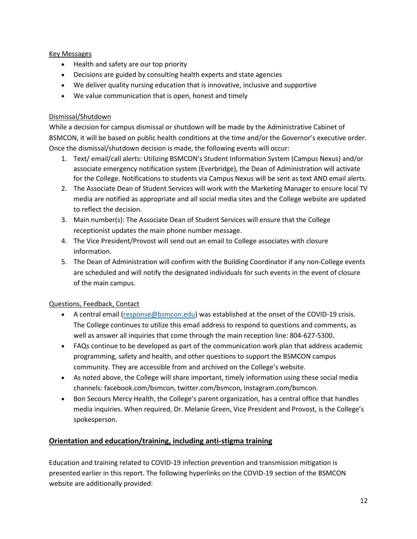#### Key Messages

- Health and safety are our top priority
- Decisions are guided by consulting health experts and state agencies
- We deliver quality nursing education that is innovative, inclusive and supportive
- We value communication that is open, honest and timely

#### Dismissal/Shutdown

While a decision for campus dismissal or shutdown will be made by the Administrative Cabinet of BSMCON, it will be based on public health conditions at the time and/or the Governor's executive order. Once the dismissal/shutdown decision is made, the following events will occur:

- 1. Text/ email/call alerts: Utilizing BSMCON's Student Information System (Campus Nexus) and/or associate emergency notification system (Everbridge), the Dean of Administration will activate for the College. Notifications to students via Campus Nexus will be sent as text AND email alerts.
- 2. The Associate Dean of Student Services will work with the Marketing Manager to ensure local TV media are notified as appropriate and all social media sites and the College website are updated to reflect the decision.
- 3. Main number(s): The Associate Dean of Student Services will ensure that the College receptionist updates the main phone number message.
- 4. The Vice President/Provost will send out an email to College associates with closure information.
- 5. The Dean of Administration will confirm with the Building Coordinator if any non-College events are scheduled and will notify the designated individuals for such events in the event of closure of the main campus.

#### Questions, Feedback, Contact

- A central email [\(response@bsmcon.edu\)](mailto:response@bsmcon.edu) was established at the onset of the COVID-19 crisis. The College continues to utilize this email address to respond to questions and comments, as well as answer all inquiries that come through the main reception line: 804-627-5300.
- FAQs continue to be developed as part of the communication work plan that address academic programming, safety and health, and other questions to support the BSMCON campus community. They are accessible from and archived on the College's website.
- As noted above, the College will share important, timely information using these social media channels: facebook.com/bsmcon, twitter.com/bsmcon, Instagram.com/bsmcon.
- Bon Secours Mercy Health, the College's parent organization, has a central office that handles media inquiries. When required, Dr. Melanie Green, Vice President and Provost, is the College's spokesperson.

# **Orientation and education/training, including anti-stigma training**

Education and training related to COVID-19 infection prevention and transmission mitigation is presented earlier in this report. The following hyperlinks on the COVID-19 section of the BSMCON website are additionally provided: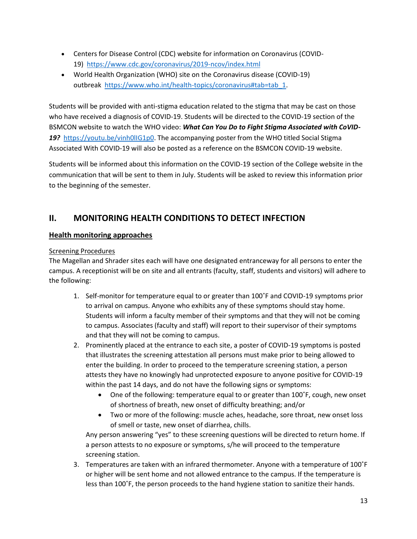- Centers for Disease Control (CDC) website for information on Coronavirus (COVID-19) <https://www.cdc.gov/coronavirus/2019-ncov/index.html>
- World Health Organization (WHO) site on the Coronavirus disease (COVID-19) outbreak [https://www.who.int/health-topics/coronavirus#tab=tab\\_1.](https://www.who.int/health-topics/coronavirus#tab=tab_1)

Students will be provided with anti-stigma education related to the stigma that may be cast on those who have received a diagnosis of COVID-19. Students will be directed to the COVID-19 section of the BSMCON website to watch the WHO video: *What Can You Do to Fight Stigma Associated with CoVID-19?* [https://youtu.be/vinh0lIG1p0.](https://youtu.be/vinh0lIG1p0) The accompanying poster from the WHO titled Social Stigma Associated With COVID-19 will also be posted as a reference on the BSMCON COVID-19 website.

Students will be informed about this information on the COVID-19 section of the College website in the communication that will be sent to them in July. Students will be asked to review this information prior to the beginning of the semester.

# **II. MONITORING HEALTH CONDITIONS TO DETECT INFECTION**

# **Health monitoring approaches**

#### Screening Procedures

The Magellan and Shrader sites each will have one designated entranceway for all persons to enter the campus. A receptionist will be on site and all entrants (faculty, staff, students and visitors) will adhere to the following:

- 1. Self-monitor for temperature equal to or greater than 100˚F and COVID-19 symptoms prior to arrival on campus. Anyone who exhibits any of these symptoms should stay home. Students will inform a faculty member of their symptoms and that they will not be coming to campus. Associates (faculty and staff) will report to their supervisor of their symptoms and that they will not be coming to campus.
- 2. Prominently placed at the entrance to each site, a poster of COVID-19 symptoms is posted that illustrates the screening attestation all persons must make prior to being allowed to enter the building. In order to proceed to the temperature screening station, a person attests they have no knowingly had unprotected exposure to anyone positive for COVID-19 within the past 14 days, and do not have the following signs or symptoms:
	- One of the following: temperature equal to or greater than 100˚F, cough, new onset of shortness of breath, new onset of difficulty breathing; and/or
	- Two or more of the following: muscle aches, headache, sore throat, new onset loss of smell or taste, new onset of diarrhea, chills.

Any person answering "yes" to these screening questions will be directed to return home. If a person attests to no exposure or symptoms, s/he will proceed to the temperature screening station.

3. Temperatures are taken with an infrared thermometer. Anyone with a temperature of 100˚F or higher will be sent home and not allowed entrance to the campus. If the temperature is less than 100˚F, the person proceeds to the hand hygiene station to sanitize their hands.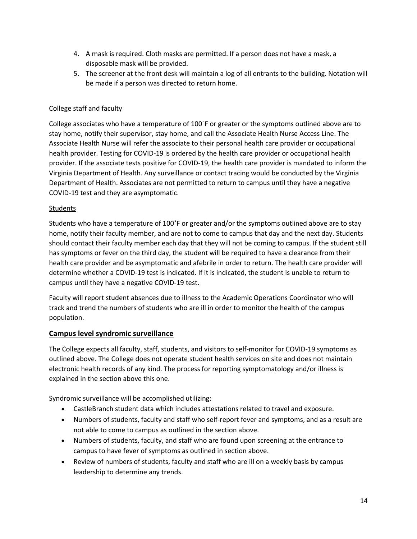- 4. A mask is required. Cloth masks are permitted. If a person does not have a mask, a disposable mask will be provided.
- 5. The screener at the front desk will maintain a log of all entrants to the building. Notation will be made if a person was directed to return home.

#### College staff and faculty

College associates who have a temperature of 100˚F or greater or the symptoms outlined above are to stay home, notify their supervisor, stay home, and call the Associate Health Nurse Access Line. The Associate Health Nurse will refer the associate to their personal health care provider or occupational health provider. Testing for COVID-19 is ordered by the health care provider or occupational health provider. If the associate tests positive for COVID-19, the health care provider is mandated to inform the Virginia Department of Health. Any surveillance or contact tracing would be conducted by the Virginia Department of Health. Associates are not permitted to return to campus until they have a negative COVID-19 test and they are asymptomatic.

#### Students

Students who have a temperature of 100˚F or greater and/or the symptoms outlined above are to stay home, notify their faculty member, and are not to come to campus that day and the next day. Students should contact their faculty member each day that they will not be coming to campus. If the student still has symptoms or fever on the third day, the student will be required to have a clearance from their health care provider and be asymptomatic and afebrile in order to return. The health care provider will determine whether a COVID-19 test is indicated. If it is indicated, the student is unable to return to campus until they have a negative COVID-19 test.

Faculty will report student absences due to illness to the Academic Operations Coordinator who will track and trend the numbers of students who are ill in order to monitor the health of the campus population.

#### **Campus level syndromic surveillance**

The College expects all faculty, staff, students, and visitors to self-monitor for COVID-19 symptoms as outlined above. The College does not operate student health services on site and does not maintain electronic health records of any kind. The process for reporting symptomatology and/or illness is explained in the section above this one.

Syndromic surveillance will be accomplished utilizing:

- CastleBranch student data which includes attestations related to travel and exposure.
- Numbers of students, faculty and staff who self-report fever and symptoms, and as a result are not able to come to campus as outlined in the section above.
- Numbers of students, faculty, and staff who are found upon screening at the entrance to campus to have fever of symptoms as outlined in section above.
- Review of numbers of students, faculty and staff who are ill on a weekly basis by campus leadership to determine any trends.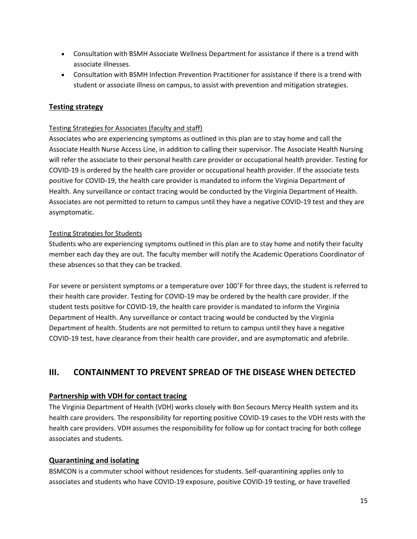- Consultation with BSMH Associate Wellness Department for assistance if there is a trend with associate illnesses.
- Consultation with BSMH Infection Prevention Practitioner for assistance if there is a trend with student or associate illness on campus, to assist with prevention and mitigation strategies.

# **Testing strategy**

#### Testing Strategies for Associates (faculty and staff)

Associates who are experiencing symptoms as outlined in this plan are to stay home and call the Associate Health Nurse Access Line, in addition to calling their supervisor. The Associate Health Nursing will refer the associate to their personal health care provider or occupational health provider. Testing for COVID-19 is ordered by the health care provider or occupational health provider. If the associate tests positive for COVID-19, the health care provider is mandated to inform the Virginia Department of Health. Any surveillance or contact tracing would be conducted by the Virginia Department of Health. Associates are not permitted to return to campus until they have a negative COVID-19 test and they are asymptomatic.

#### Testing Strategies for Students

Students who are experiencing symptoms outlined in this plan are to stay home and notify their faculty member each day they are out. The faculty member will notify the Academic Operations Coordinator of these absences so that they can be tracked.

For severe or persistent symptoms or a temperature over 100˚F for three days, the student is referred to their health care provider. Testing for COVID-19 may be ordered by the health care provider. If the student tests positive for COVID-19, the health care provider is mandated to inform the Virginia Department of Health. Any surveillance or contact tracing would be conducted by the Virginia Department of health. Students are not permitted to return to campus until they have a negative COVID-19 test, have clearance from their health care provider, and are asymptomatic and afebrile.

# **III. CONTAINMENT TO PREVENT SPREAD OF THE DISEASE WHEN DETECTED**

#### **Partnership with VDH for contact tracing**

The Virginia Department of Health (VDH) works closely with Bon Secours Mercy Health system and its health care providers. The responsibility for reporting positive COVID-19 cases to the VDH rests with the health care providers. VDH assumes the responsibility for follow up for contact tracing for both college associates and students.

#### **Quarantining and isolating**

BSMCON is a commuter school without residences for students. Self-quarantining applies only to associates and students who have COVID-19 exposure, positive COVID-19 testing, or have travelled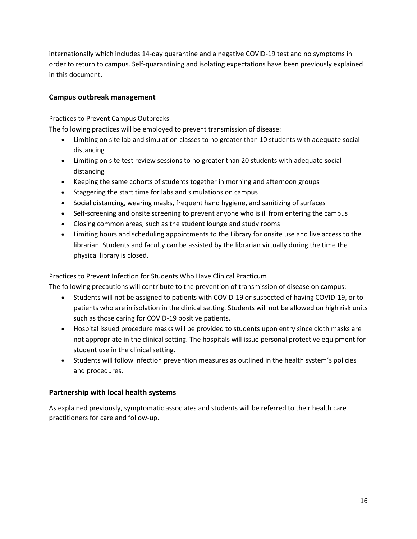internationally which includes 14-day quarantine and a negative COVID-19 test and no symptoms in order to return to campus. Self-quarantining and isolating expectations have been previously explained in this document.

#### **Campus outbreak management**

#### Practices to Prevent Campus Outbreaks

The following practices will be employed to prevent transmission of disease:

- Limiting on site lab and simulation classes to no greater than 10 students with adequate social distancing
- Limiting on site test review sessions to no greater than 20 students with adequate social distancing
- Keeping the same cohorts of students together in morning and afternoon groups
- Staggering the start time for labs and simulations on campus
- Social distancing, wearing masks, frequent hand hygiene, and sanitizing of surfaces
- Self-screening and onsite screening to prevent anyone who is ill from entering the campus
- Closing common areas, such as the student lounge and study rooms
- Limiting hours and scheduling appointments to the Library for onsite use and live access to the librarian. Students and faculty can be assisted by the librarian virtually during the time the physical library is closed.

#### Practices to Prevent Infection for Students Who Have Clinical Practicum

The following precautions will contribute to the prevention of transmission of disease on campus:

- Students will not be assigned to patients with COVID-19 or suspected of having COVID-19, or to patients who are in isolation in the clinical setting. Students will not be allowed on high risk units such as those caring for COVID-19 positive patients.
- Hospital issued procedure masks will be provided to students upon entry since cloth masks are not appropriate in the clinical setting. The hospitals will issue personal protective equipment for student use in the clinical setting.
- Students will follow infection prevention measures as outlined in the health system's policies and procedures.

#### **Partnership with local health systems**

As explained previously, symptomatic associates and students will be referred to their health care practitioners for care and follow-up.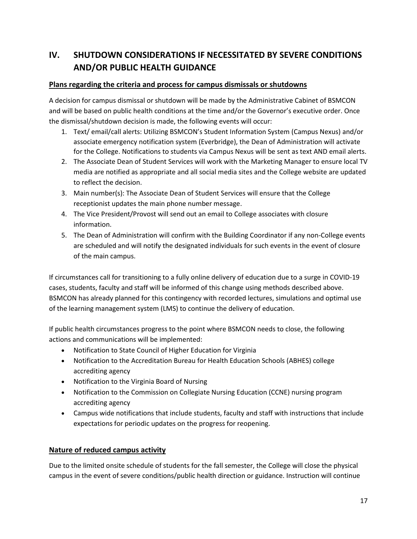# **IV. SHUTDOWN CONSIDERATIONS IF NECESSITATED BY SEVERE CONDITIONS AND/OR PUBLIC HEALTH GUIDANCE**

#### **Plans regarding the criteria and process for campus dismissals or shutdowns**

A decision for campus dismissal or shutdown will be made by the Administrative Cabinet of BSMCON and will be based on public health conditions at the time and/or the Governor's executive order. Once the dismissal/shutdown decision is made, the following events will occur:

- 1. Text/ email/call alerts: Utilizing BSMCON's Student Information System (Campus Nexus) and/or associate emergency notification system (Everbridge), the Dean of Administration will activate for the College. Notifications to students via Campus Nexus will be sent as text AND email alerts.
- 2. The Associate Dean of Student Services will work with the Marketing Manager to ensure local TV media are notified as appropriate and all social media sites and the College website are updated to reflect the decision.
- 3. Main number(s): The Associate Dean of Student Services will ensure that the College receptionist updates the main phone number message.
- 4. The Vice President/Provost will send out an email to College associates with closure information.
- 5. The Dean of Administration will confirm with the Building Coordinator if any non-College events are scheduled and will notify the designated individuals for such events in the event of closure of the main campus.

If circumstances call for transitioning to a fully online delivery of education due to a surge in COVID-19 cases, students, faculty and staff will be informed of this change using methods described above. BSMCON has already planned for this contingency with recorded lectures, simulations and optimal use of the learning management system (LMS) to continue the delivery of education.

If public health circumstances progress to the point where BSMCON needs to close, the following actions and communications will be implemented:

- Notification to State Council of Higher Education for Virginia
- Notification to the Accreditation Bureau for Health Education Schools (ABHES) college accrediting agency
- Notification to the Virginia Board of Nursing
- Notification to the Commission on Collegiate Nursing Education (CCNE) nursing program accrediting agency
- Campus wide notifications that include students, faculty and staff with instructions that include expectations for periodic updates on the progress for reopening.

#### **Nature of reduced campus activity**

Due to the limited onsite schedule of students for the fall semester, the College will close the physical campus in the event of severe conditions/public health direction or guidance. Instruction will continue